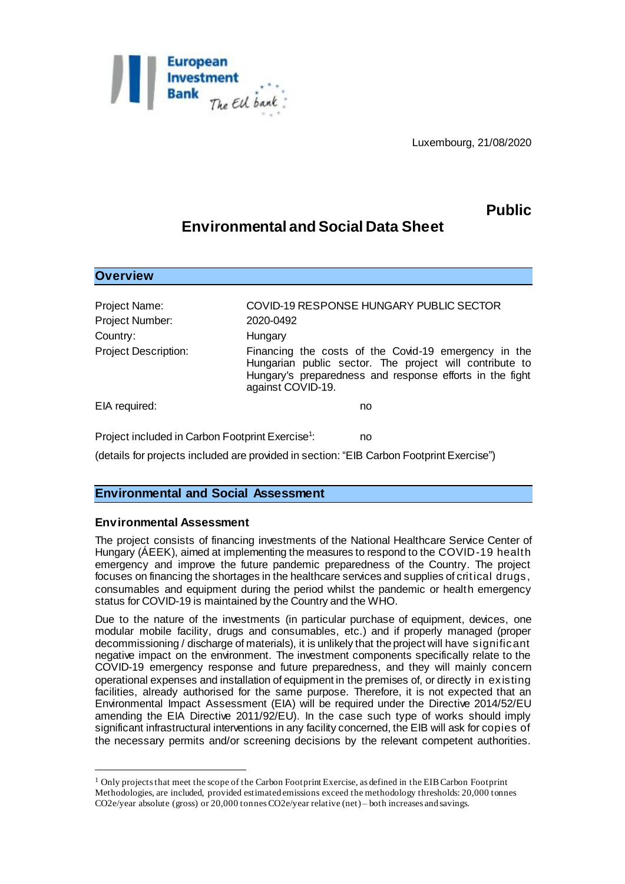

Luxembourg, 21/08/2020

# **Public**

## **Environmental and Social Data Sheet**

| <b>Overview</b>                                              |                                                                                                                                                                                                  |
|--------------------------------------------------------------|--------------------------------------------------------------------------------------------------------------------------------------------------------------------------------------------------|
| Project Name:                                                | COVID-19 RESPONSE HUNGARY PUBLIC SECTOR                                                                                                                                                          |
| Project Number:                                              | 2020-0492                                                                                                                                                                                        |
| Country:                                                     | Hungary                                                                                                                                                                                          |
| <b>Project Description:</b>                                  | Financing the costs of the Covid-19 emergency in the<br>Hungarian public sector. The project will contribute to<br>Hungary's preparedness and response efforts in the fight<br>against COVID-19. |
| EIA required:                                                | no                                                                                                                                                                                               |
| Project included in Carbon Footprint Exercise <sup>1</sup> : | no                                                                                                                                                                                               |

(details for projects included are provided in section: "EIB Carbon Footprint Exercise")

### **Environmental and Social Assessment**

#### **Environmental Assessment**

l

The project consists of financing investments of the National Healthcare Service Center of Hungary (ÁEEK), aimed at implementing the measures to respond to the COVID-19 health emergency and improve the future pandemic preparedness of the Country. The project focuses on financing the shortages in the healthcare services and supplies of critical drugs, consumables and equipment during the period whilst the pandemic or health emergency status for COVID-19 is maintained by the Country and the WHO.

Due to the nature of the investments (in particular purchase of equipment, devices, one modular mobile facility, drugs and consumables, etc.) and if properly managed (proper decommissioning / discharge of materials), it is unlikely that the project will have significant negative impact on the environment. The investment components specifically relate to the COVID-19 emergency response and future preparedness, and they will mainly concern operational expenses and installation of equipment in the premises of, or directly in existing facilities, already authorised for the same purpose. Therefore, it is not expected that an Environmental Impact Assessment (EIA) will be required under the Directive 2014/52/EU amending the EIA Directive 2011/92/EU). In the case such type of works should imply significant infrastructural interventions in any facility concerned, the EIB will ask for copies of the necessary permits and/or screening decisions by the relevant competent authorities.

<sup>&</sup>lt;sup>1</sup> Only projects that meet the scope of the Carbon Footprint Exercise, as defined in the EIB Carbon Footprint Methodologies, are included, provided estimated emissions exceed the methodology thresholds: 20,000 tonnes CO2e/year absolute (gross) or 20,000 tonnes CO2e/year relative (net) – both increases and savings.